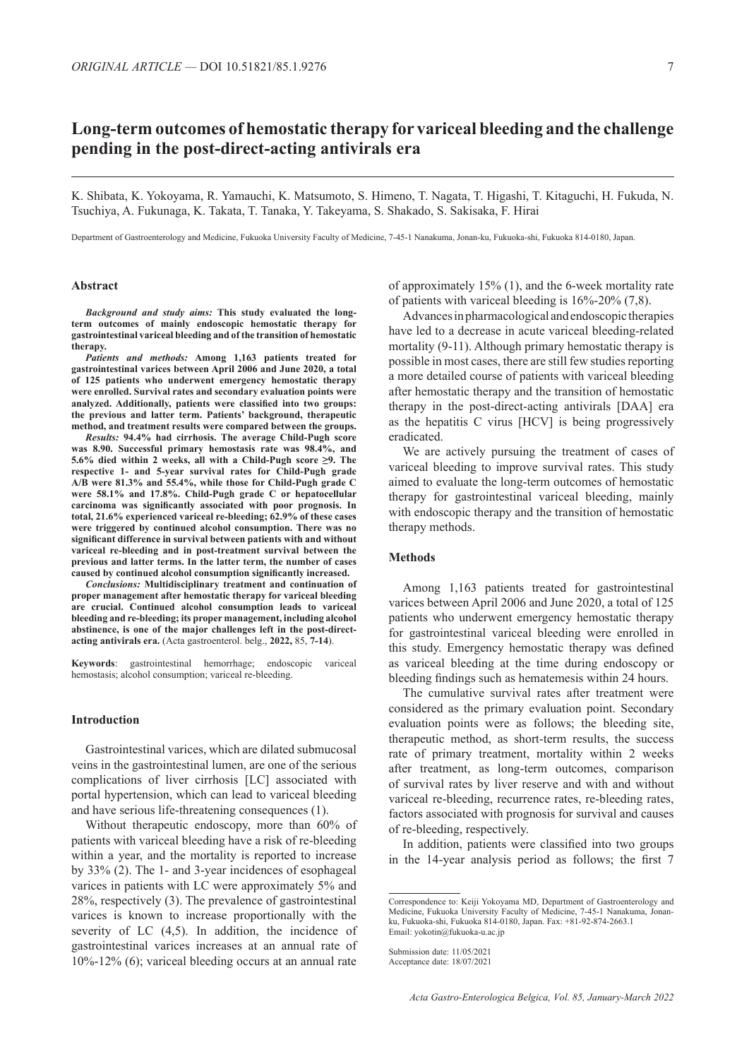# **Long-term outcomes of hemostatic therapy for variceal bleeding and the challenge pending in the post-direct-acting antivirals era**

K. Shibata, K. Yokoyama, R. Yamauchi, K. Matsumoto, S. Himeno, T. Nagata, T. Higashi, T. Kitaguchi, H. Fukuda, N. Tsuchiya, A. Fukunaga, K. Takata, T. Tanaka, Y. Takeyama, S. Shakado, S. Sakisaka, F. Hirai

Department of Gastroenterology and Medicine, Fukuoka University Faculty of Medicine, 7-45-1 Nanakuma, Jonan-ku, Fukuoka-shi, Fukuoka 814-0180, Japan.

## **Abstract**

*Background and study aims:* **This study evaluated the longterm outcomes of mainly endoscopic hemostatic therapy for gastrointestinal variceal bleeding and of the transition of hemostatic therapy.**

*Patients and methods:* **Among 1,163 patients treated for gastrointestinal varices between April 2006 and June 2020, a total of 125 patients who underwent emergency hemostatic therapy were enrolled. Survival rates and secondary evaluation points were analyzed. Additionally, patients were classified into two groups: the previous and latter term. Patients' background, therapeutic method, and treatment results were compared between the groups.**

*Results:* **94.4% had cirrhosis. The average Child-Pugh score was 8.90. Successful primary hemostasis rate was 98.4%, and 5.6% died within 2 weeks, all with a Child-Pugh score ≥9. The respective 1- and 5-year survival rates for Child-Pugh grade A/B were 81.3% and 55.4%, while those for Child-Pugh grade C were 58.1% and 17.8%. Child-Pugh grade C or hepatocellular carcinoma was significantly associated with poor prognosis. In total, 21.6% experienced variceal re-bleeding; 62.9% of these cases were triggered by continued alcohol consumption. There was no significant difference in survival between patients with and without variceal re-bleeding and in post-treatment survival between the previous and latter terms. In the latter term, the number of cases caused by continued alcohol consumption significantly increased.**

*Conclusions:* **Multidisciplinary treatment and continuation of proper management after hemostatic therapy for variceal bleeding are crucial. Continued alcohol consumption leads to variceal bleeding and re-bleeding; its proper management, including alcohol abstinence, is one of the major challenges left in the post-directacting antivirals era.** (Acta gastroenterol. belg., **2022,** 85, **7-14**).

**Keywords**: gastrointestinal hemorrhage; endoscopic variceal hemostasis; alcohol consumption; variceal re-bleeding.

#### **Introduction**

Gastrointestinal varices, which are dilated submucosal veins in the gastrointestinal lumen, are one of the serious complications of liver cirrhosis [LC] associated with portal hypertension, which can lead to variceal bleeding and have serious life-threatening consequences (1).

Without therapeutic endoscopy, more than 60% of patients with variceal bleeding have a risk of re-bleeding within a year, and the mortality is reported to increase by 33% (2). The 1- and 3-year incidences of esophageal varices in patients with LC were approximately 5% and 28%, respectively (3). The prevalence of gastrointestinal varices is known to increase proportionally with the severity of LC (4,5). In addition, the incidence of gastrointestinal varices increases at an annual rate of 10%-12% (6); variceal bleeding occurs at an annual rate

of approximately 15% (1), and the 6-week mortality rate of patients with variceal bleeding is 16%-20% (7,8).

Advances in pharmacological and endoscopic therapies have led to a decrease in acute variceal bleeding-related mortality (9-11). Although primary hemostatic therapy is possible in most cases, there are still few studies reporting a more detailed course of patients with variceal bleeding after hemostatic therapy and the transition of hemostatic therapy in the post-direct-acting antivirals [DAA] era as the hepatitis C virus [HCV] is being progressively eradicated.

We are actively pursuing the treatment of cases of variceal bleeding to improve survival rates. This study aimed to evaluate the long-term outcomes of hemostatic therapy for gastrointestinal variceal bleeding, mainly with endoscopic therapy and the transition of hemostatic therapy methods.

## **Methods**

Among 1,163 patients treated for gastrointestinal varices between April 2006 and June 2020, a total of 125 patients who underwent emergency hemostatic therapy for gastrointestinal variceal bleeding were enrolled in this study. Emergency hemostatic therapy was defined as variceal bleeding at the time during endoscopy or bleeding findings such as hematemesis within 24 hours.

The cumulative survival rates after treatment were considered as the primary evaluation point. Secondary evaluation points were as follows; the bleeding site, therapeutic method, as short-term results, the success rate of primary treatment, mortality within 2 weeks after treatment, as long-term outcomes, comparison of survival rates by liver reserve and with and without variceal re-bleeding, recurrence rates, re-bleeding rates, factors associated with prognosis for survival and causes of re-bleeding, respectively.

In addition, patients were classified into two groups in the 14-year analysis period as follows; the first 7

Correspondence to: Keiji Yokoyama MD, Department of Gastroenterology and Medicine, Fukuoka University Faculty of Medicine, 7-45-1 Nanakuma, Jonanku, Fukuoka-shi, Fukuoka 814-0180, Japan. Fax: +81-92-874-2663.1 Email: yokotin@fukuoka-u.ac.jp

Submission date: 11/05/2021 Acceptance date: 18/07/2021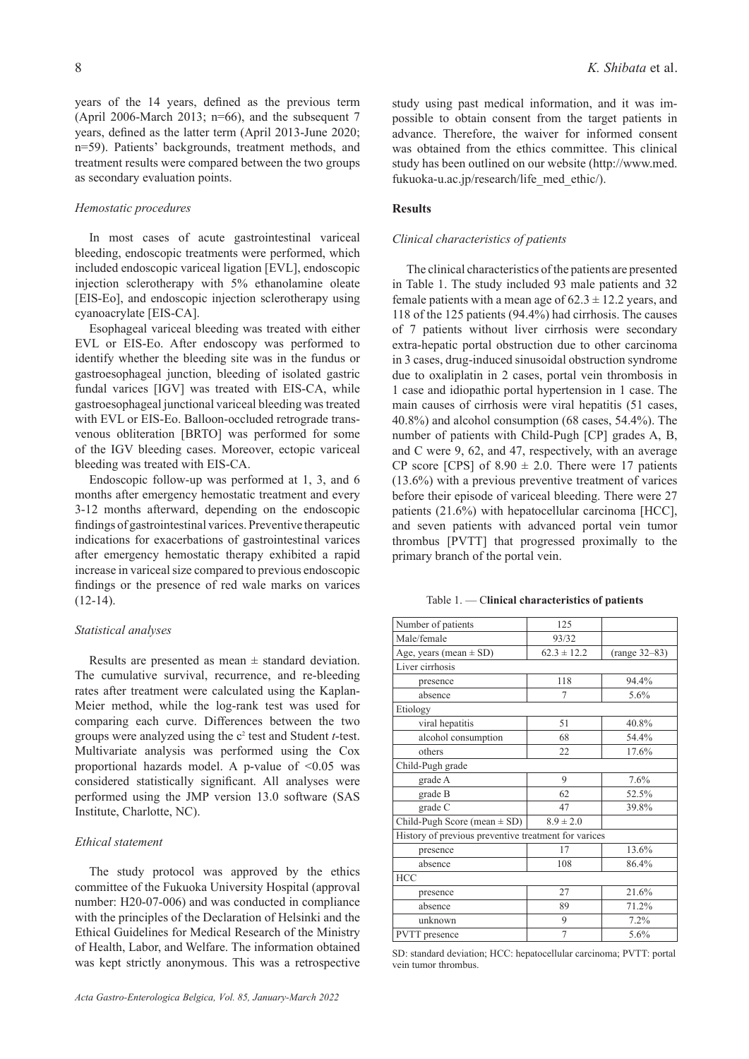years of the 14 years, defined as the previous term (April 2006-March 2013; n=66), and the subsequent 7 years, defined as the latter term (April 2013-June 2020; n=59). Patients' backgrounds, treatment methods, and treatment results were compared between the two groups as secondary evaluation points.

## *Hemostatic procedures*

In most cases of acute gastrointestinal variceal bleeding, endoscopic treatments were performed, which included endoscopic variceal ligation [EVL], endoscopic injection sclerotherapy with 5% ethanolamine oleate [EIS-Eo], and endoscopic injection sclerotherapy using cyanoacrylate [EIS-CA].

Esophageal variceal bleeding was treated with either EVL or EIS-Eo. After endoscopy was performed to identify whether the bleeding site was in the fundus or gastroesophageal junction, bleeding of isolated gastric fundal varices [IGV] was treated with EIS-CA, while gastroesophageal junctional variceal bleeding was treated with EVL or EIS-Eo. Balloon-occluded retrograde transvenous obliteration [BRTO] was performed for some of the IGV bleeding cases. Moreover, ectopic variceal bleeding was treated with EIS-CA.

Endoscopic follow-up was performed at 1, 3, and 6 months after emergency hemostatic treatment and every 3-12 months afterward, depending on the endoscopic findings of gastrointestinal varices. Preventive therapeutic indications for exacerbations of gastrointestinal varices after emergency hemostatic therapy exhibited a rapid increase in variceal size compared to previous endoscopic findings or the presence of red wale marks on varices  $(12-14)$ .

## *Statistical analyses*

Results are presented as mean  $\pm$  standard deviation. The cumulative survival, recurrence, and re-bleeding rates after treatment were calculated using the Kaplan-Meier method, while the log-rank test was used for comparing each curve. Differences between the two groups were analyzed using the c<sup>2</sup> test and Student *t*-test. Multivariate analysis was performed using the Cox proportional hazards model. A p-value of  $\leq 0.05$  was considered statistically significant. All analyses were performed using the JMP version 13.0 software (SAS Institute, Charlotte, NC).

#### *Ethical statement*

The study protocol was approved by the ethics committee of the Fukuoka University Hospital (approval number: H20-07-006) and was conducted in compliance with the principles of the Declaration of Helsinki and the Ethical Guidelines for Medical Research of the Ministry of Health, Labor, and Welfare. The information obtained was kept strictly anonymous. This was a retrospective

study using past medical information, and it was impossible to obtain consent from the target patients in advance. Therefore, the waiver for informed consent was obtained from the ethics committee. This clinical study has been outlined on our website (http://www.med. fukuoka-u.ac.jp/research/life\_med\_ethic/).

## **Results**

## *Clinical characteristics of patients*

The clinical characteristics of the patients are presented in Table 1. The study included 93 male patients and 32 female patients with a mean age of  $62.3 \pm 12.2$  years, and 118 of the 125 patients (94.4%) had cirrhosis. The causes of 7 patients without liver cirrhosis were secondary extra-hepatic portal obstruction due to other carcinoma in 3 cases, drug-induced sinusoidal obstruction syndrome due to oxaliplatin in 2 cases, portal vein thrombosis in 1 case and idiopathic portal hypertension in 1 case. The main causes of cirrhosis were viral hepatitis (51 cases, 40.8%) and alcohol consumption (68 cases, 54.4%). The number of patients with Child-Pugh [CP] grades A, B, and C were 9, 62, and 47, respectively, with an average CP score [CPS] of  $8.90 \pm 2.0$ . There were 17 patients (13.6%) with a previous preventive treatment of varices before their episode of variceal bleeding. There were 27 patients (21.6%) with hepatocellular carcinoma [HCC], and seven patients with advanced portal vein tumor thrombus [PVTT] that progressed proximally to the primary branch of the portal vein.

Table 1. — C**linical characteristics of patients**

| 125                                                  |                 |  |  |  |
|------------------------------------------------------|-----------------|--|--|--|
| 93/32                                                |                 |  |  |  |
| $62.3 \pm 12.2$                                      | $(range 32-83)$ |  |  |  |
|                                                      |                 |  |  |  |
| 118                                                  | 94.4%           |  |  |  |
| 7                                                    | 5.6%            |  |  |  |
|                                                      |                 |  |  |  |
| 51                                                   | 40.8%           |  |  |  |
| 68                                                   | 54.4%           |  |  |  |
| 22                                                   | 17.6%           |  |  |  |
|                                                      |                 |  |  |  |
| 9                                                    | 7.6%            |  |  |  |
| 62                                                   | 52.5%           |  |  |  |
| 47                                                   | 39.8%           |  |  |  |
| $8.9 \pm 2.0$                                        |                 |  |  |  |
| History of previous preventive treatment for varices |                 |  |  |  |
| 17                                                   | 13.6%           |  |  |  |
| 108                                                  | 86.4%           |  |  |  |
|                                                      |                 |  |  |  |
| 27                                                   | 21.6%           |  |  |  |
| 89                                                   | 71.2%           |  |  |  |
| 9                                                    | 7.2%            |  |  |  |
| 7                                                    | 5.6%            |  |  |  |
|                                                      |                 |  |  |  |

SD: standard deviation; HCC: hepatocellular carcinoma; PVTT: portal vein tumor thrombus.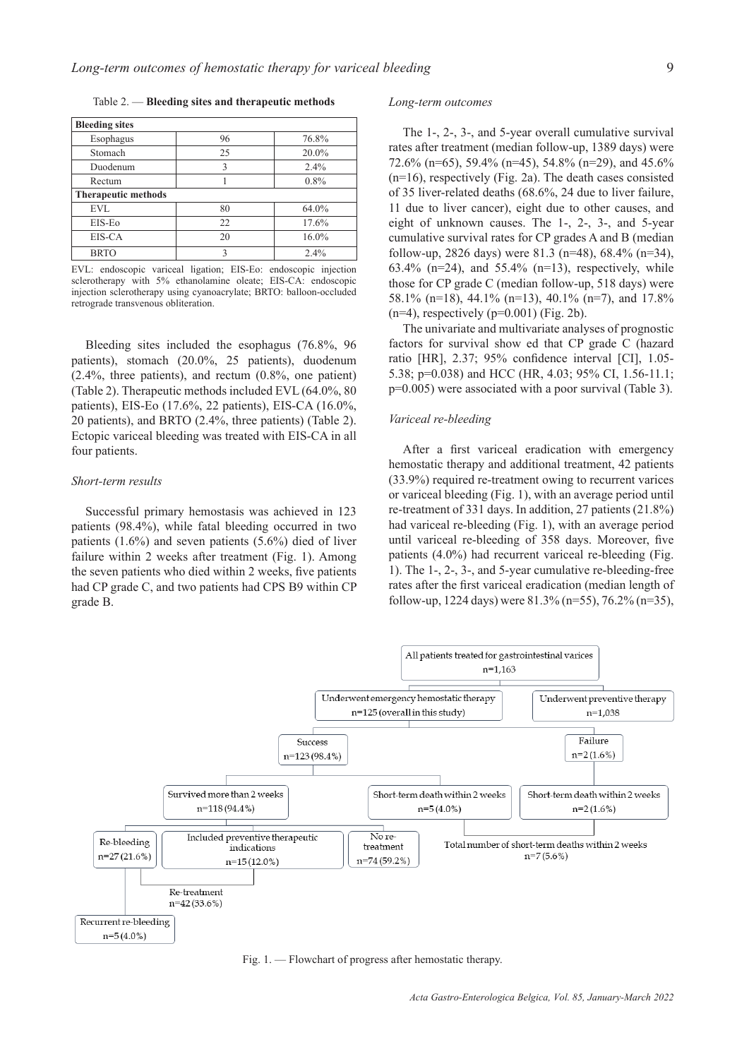Table 2. — **Bleeding sites and therapeutic methods**

| <b>Bleeding sites</b>      |    |       |  |  |
|----------------------------|----|-------|--|--|
| Esophagus                  | 96 | 76.8% |  |  |
| Stomach                    | 25 | 20.0% |  |  |
| Duodenum                   | 3  | 2.4%  |  |  |
| Rectum                     |    | 0.8%  |  |  |
| <b>Therapeutic methods</b> |    |       |  |  |
| EVL                        | 80 | 64.0% |  |  |
| EIS-Eo                     | 22 | 17.6% |  |  |
| EIS-CA                     | 20 | 16.0% |  |  |
| <b>BRTO</b>                | 3  | 2.4%  |  |  |

EVL: endoscopic variceal ligation; EIS-Eo: endoscopic injection sclerotherapy with 5% ethanolamine oleate; EIS-CA: endoscopic injection sclerotherapy using cyanoacrylate; BRTO: balloon-occluded retrograde transvenous obliteration.

Bleeding sites included the esophagus (76.8%, 96 patients), stomach (20.0%, 25 patients), duodenum (2.4%, three patients), and rectum (0.8%, one patient) (Table 2). Therapeutic methods included EVL (64.0%, 80 patients), EIS-Eo (17.6%, 22 patients), EIS-CA (16.0%, 20 patients), and BRTO (2.4%, three patients) (Table 2). Ectopic variceal bleeding was treated with EIS-CA in all four patients.

#### *Short-term results*

Successful primary hemostasis was achieved in 123 patients (98.4%), while fatal bleeding occurred in two patients (1.6%) and seven patients (5.6%) died of liver failure within 2 weeks after treatment (Fig. 1). Among the seven patients who died within 2 weeks, five patients had CP grade C, and two patients had CPS B9 within CP grade B.

## *Long-term outcomes*

The 1-, 2-, 3-, and 5-year overall cumulative survival rates after treatment (median follow-up, 1389 days) were 72.6% (n=65), 59.4% (n=45), 54.8% (n=29), and 45.6% (n=16), respectively (Fig. 2a). The death cases consisted of 35 liver-related deaths (68.6%, 24 due to liver failure, 11 due to liver cancer), eight due to other causes, and eight of unknown causes. The 1-, 2-, 3-, and 5-year cumulative survival rates for CP grades A and B (median follow-up, 2826 days) were 81.3 (n=48), 68.4% (n=34), 63.4% (n=24), and 55.4% (n=13), respectively, while those for CP grade C (median follow-up, 518 days) were 58.1% (n=18), 44.1% (n=13), 40.1% (n=7), and 17.8%  $(n=4)$ , respectively  $(p=0.001)$  (Fig. 2b).

The univariate and multivariate analyses of prognostic factors for survival show ed that CP grade C (hazard ratio [HR], 2.37; 95% confidence interval [CI], 1.05- 5.38; p=0.038) and HCC (HR, 4.03; 95% CI, 1.56-11.1; p=0.005) were associated with a poor survival (Table 3).

## *Variceal re-bleeding*

After a first variceal eradication with emergency hemostatic therapy and additional treatment, 42 patients (33.9%) required re-treatment owing to recurrent varices or variceal bleeding (Fig. 1), with an average period until re-treatment of 331 days. In addition, 27 patients (21.8%) had variceal re-bleeding (Fig. 1), with an average period until variceal re-bleeding of 358 days. Moreover, five patients (4.0%) had recurrent variceal re-bleeding (Fig. 1). The 1-, 2-, 3-, and 5-year cumulative re-bleeding-free rates after the first variceal eradication (median length of follow-up, 1224 days) were  $81.3\%$  (n=55), 76.2% (n=35),



Fig. 1. — Flowchart of progress after hemostatic therapy.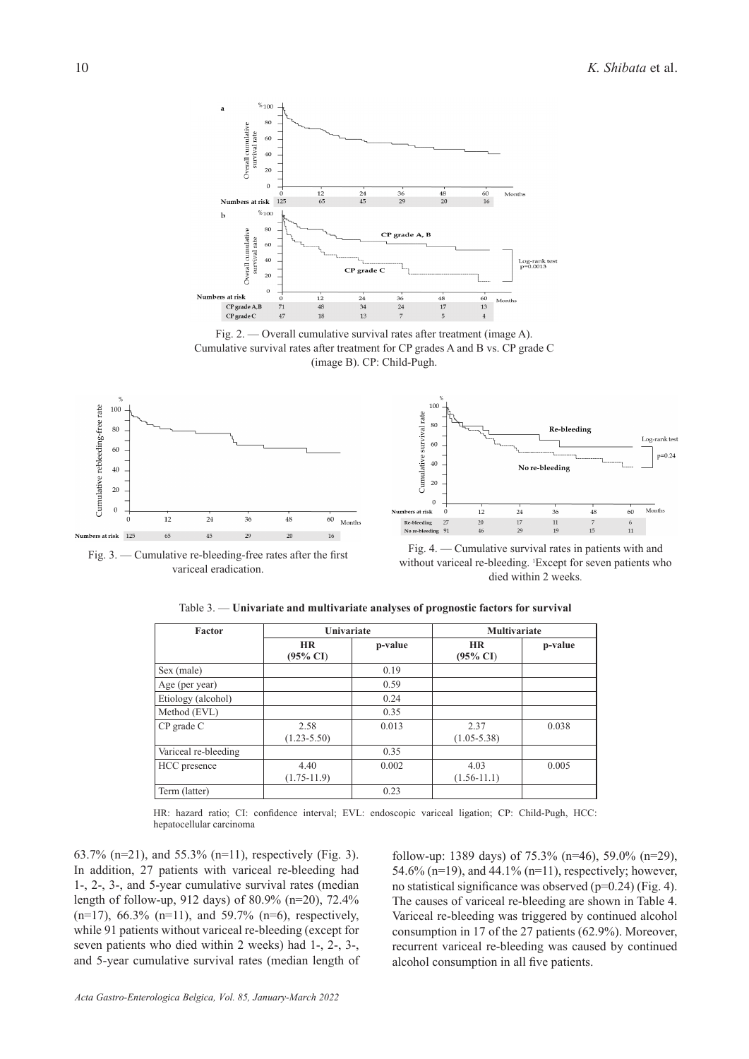

Fig. 2. — Overall cumulative survival rates after treatment (image A). Cumulative survival rates after treatment for CP grades A and B vs. CP grade C (image B). CP: Child-Pugh.



Fig. 3. — Cumulative re-bleeding-free rates after the first variceal eradication.



Fig. 4. — Cumulative survival rates in patients with and without variceal re-bleeding. 'Except for seven patients who died within 2 weeks.

| Factor               | Univariate                       |         | <b>Multivariate</b>              |         |
|----------------------|----------------------------------|---------|----------------------------------|---------|
|                      | <b>HR</b><br>$(95\% \text{ CI})$ | p-value | <b>HR</b><br>$(95\% \text{ CI})$ | p-value |
| Sex (male)           |                                  | 0.19    |                                  |         |
| Age (per year)       |                                  | 0.59    |                                  |         |
| Etiology (alcohol)   |                                  | 0.24    |                                  |         |
| Method (EVL)         |                                  | 0.35    |                                  |         |
| $CP$ grade $C$       | 2.58<br>$(1.23 - 5.50)$          | 0.013   | 2.37<br>$(1.05 - 5.38)$          | 0.038   |
| Variceal re-bleeding |                                  | 0.35    |                                  |         |
| HCC presence         | 4.40<br>$(1.75-11.9)$            | 0.002   | 4.03<br>$(1.56 - 11.1)$          | 0.005   |
| Term (latter)        |                                  | 0.23    |                                  |         |

Table 3. — **Univariate and multivariate analyses of prognostic factors for survival**

HR: hazard ratio; CI: confidence interval; EVL: endoscopic variceal ligation; CP: Child-Pugh, HCC: hepatocellular carcinoma

63.7% (n=21), and 55.3% (n=11), respectively (Fig. 3). In addition, 27 patients with variceal re-bleeding had 1-, 2-, 3-, and 5-year cumulative survival rates (median length of follow-up, 912 days) of 80.9% (n=20), 72.4%  $(n=17)$ , 66.3%  $(n=11)$ , and 59.7%  $(n=6)$ , respectively, while 91 patients without variceal re-bleeding (except for seven patients who died within 2 weeks) had 1-, 2-, 3-, and 5-year cumulative survival rates (median length of follow-up: 1389 days) of 75.3% (n=46), 59.0% (n=29), 54.6% (n=19), and 44.1% (n=11), respectively; however, no statistical significance was observed (p=0.24) (Fig. 4). The causes of variceal re-bleeding are shown in Table 4. Variceal re-bleeding was triggered by continued alcohol consumption in 17 of the 27 patients (62.9%). Moreover, recurrent variceal re-bleeding was caused by continued alcohol consumption in all five patients.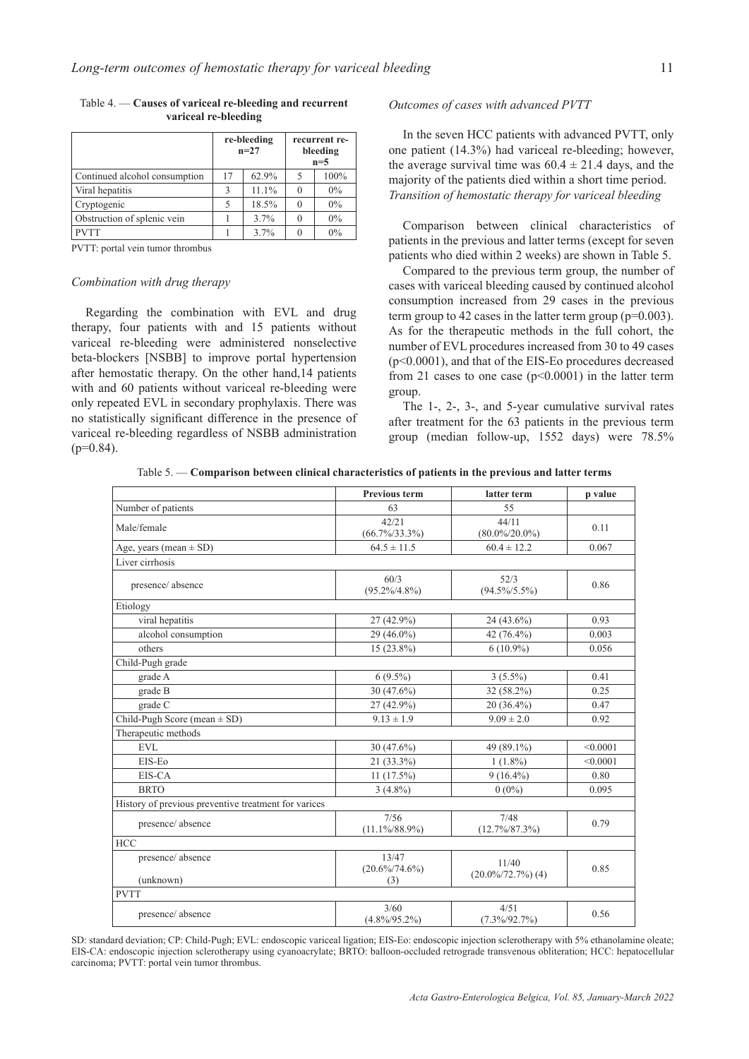|                               | re-bleeding<br>$n=27$ |       | recurrent re-<br>bleeding<br>$n=5$ |       |
|-------------------------------|-----------------------|-------|------------------------------------|-------|
| Continued alcohol consumption | 17                    | 62.9% | 5                                  | 100%  |
| Viral hepatitis               | 3                     | 11.1% | 0                                  | $0\%$ |
| Cryptogenic                   |                       | 18.5% | $\Omega$                           | $0\%$ |
| Obstruction of splenic vein   |                       | 3.7%  | 0                                  | $0\%$ |
| <b>PVTT</b>                   |                       | 3.7%  |                                    | $0\%$ |

Table 4. — **Causes of variceal re-bleeding and recurrent variceal re-bleeding**

PVTT: portal vein tumor thrombus

#### *Combination with drug therapy*

Regarding the combination with EVL and drug therapy, four patients with and 15 patients without variceal re-bleeding were administered nonselective beta-blockers [NSBB] to improve portal hypertension after hemostatic therapy. On the other hand,14 patients with and 60 patients without variceal re-bleeding were only repeated EVL in secondary prophylaxis. There was no statistically significant difference in the presence of variceal re-bleeding regardless of NSBB administration  $(p=0.84)$ .

## *Outcomes of cases with advanced PVTT*

In the seven HCC patients with advanced PVTT, only one patient (14.3%) had variceal re-bleeding; however, the average survival time was  $60.4 \pm 21.4$  days, and the majority of the patients died within a short time period. *Transition of hemostatic therapy for variceal bleeding*

Comparison between clinical characteristics of patients in the previous and latter terms (except for seven patients who died within 2 weeks) are shown in Table 5.

Compared to the previous term group, the number of cases with variceal bleeding caused by continued alcohol consumption increased from 29 cases in the previous term group to 42 cases in the latter term group  $(p=0.003)$ . As for the therapeutic methods in the full cohort, the number of EVL procedures increased from 30 to 49 cases (p<0.0001), and that of the EIS-Eo procedures decreased from 21 cases to one case  $(p<0.0001)$  in the latter term group.

The 1-, 2-, 3-, and 5-year cumulative survival rates after treatment for the 63 patients in the previous term group (median follow-up, 1552 days) were 78.5%

Table 5. — **Comparison between clinical characteristics of patients in the previous and latter terms**

|                                                      | <b>Previous term</b>              | latter term                    | p value  |  |  |
|------------------------------------------------------|-----------------------------------|--------------------------------|----------|--|--|
| Number of patients                                   | 63                                | 55                             |          |  |  |
| Male/female                                          | 42/21                             | 44/11                          | 0.11     |  |  |
|                                                      | $(66.7\%/33.3\%)$                 | $(80.0\%/20.0\%)$              |          |  |  |
| Age, years (mean $\pm$ SD)                           | $64.5 \pm 11.5$                   | $60.4 \pm 12.2$                | 0.067    |  |  |
| Liver cirrhosis                                      |                                   |                                |          |  |  |
| presence/absence                                     | 60/3<br>$(95.2\%/4.8\%)$          | 52/3<br>$(94.5\%/5.5\%)$       | 0.86     |  |  |
| Etiology                                             |                                   |                                |          |  |  |
| viral hepatitis                                      | 27 (42.9%)                        | 24 (43.6%)                     | 0.93     |  |  |
| alcohol consumption                                  | 29 (46.0%)                        | 42 (76.4%)                     | 0.003    |  |  |
| others                                               | $15(23.8\%)$                      | $6(10.9\%)$                    | 0.056    |  |  |
| Child-Pugh grade                                     |                                   |                                |          |  |  |
| grade A                                              | $6(9.5\%)$                        | $3(5.5\%)$                     | 0.41     |  |  |
| grade B                                              | $30(47.6\%)$                      | 32 (58.2%)                     | 0.25     |  |  |
| grade C                                              | 27 (42.9%)                        | 20 (36.4%)                     | 0.47     |  |  |
| Child-Pugh Score (mean $\pm$ SD)                     | $9.13 \pm 1.9$                    | $9.09 \pm 2.0$                 | 0.92     |  |  |
| Therapeutic methods                                  |                                   |                                |          |  |  |
| <b>EVL</b>                                           | $30(47.6\%)$                      | 49 (89.1%)                     | < 0.0001 |  |  |
| EIS-Eo                                               | 21 (33.3%)                        | $1(1.8\%)$                     | < 0.0001 |  |  |
| EIS-CA                                               | $11(17.5\%)$                      | $9(16.4\%)$                    | 0.80     |  |  |
| <b>BRTO</b>                                          | $3(4.8\%)$                        | $0(0\%)$                       | 0.095    |  |  |
| History of previous preventive treatment for varices |                                   |                                |          |  |  |
| presence/absence                                     | 7/56<br>$(11.1\%/88.9\%)$         | 7/48<br>$(12.7\%/87.3\%)$      | 0.79     |  |  |
| <b>HCC</b>                                           |                                   |                                |          |  |  |
| presence/absence<br>(unknown)                        | 13/47<br>$(20.6\%/74.6\%)$<br>(3) | 11/40<br>$(20.0\%/72.7\%)$ (4) | 0.85     |  |  |
| <b>PVTT</b>                                          |                                   |                                |          |  |  |
| presence/absence                                     | 3/60<br>$(4.8\%/95.2\%)$          | 4/51<br>$(7.3\%/92.7\%)$       | 0.56     |  |  |

SD: standard deviation; CP: Child-Pugh; EVL: endoscopic variceal ligation; EIS-Eo: endoscopic injection sclerotherapy with 5% ethanolamine oleate; EIS-CA: endoscopic injection sclerotherapy using cyanoacrylate; BRTO: balloon-occluded retrograde transvenous obliteration; HCC: hepatocellular carcinoma; PVTT: portal vein tumor thrombus.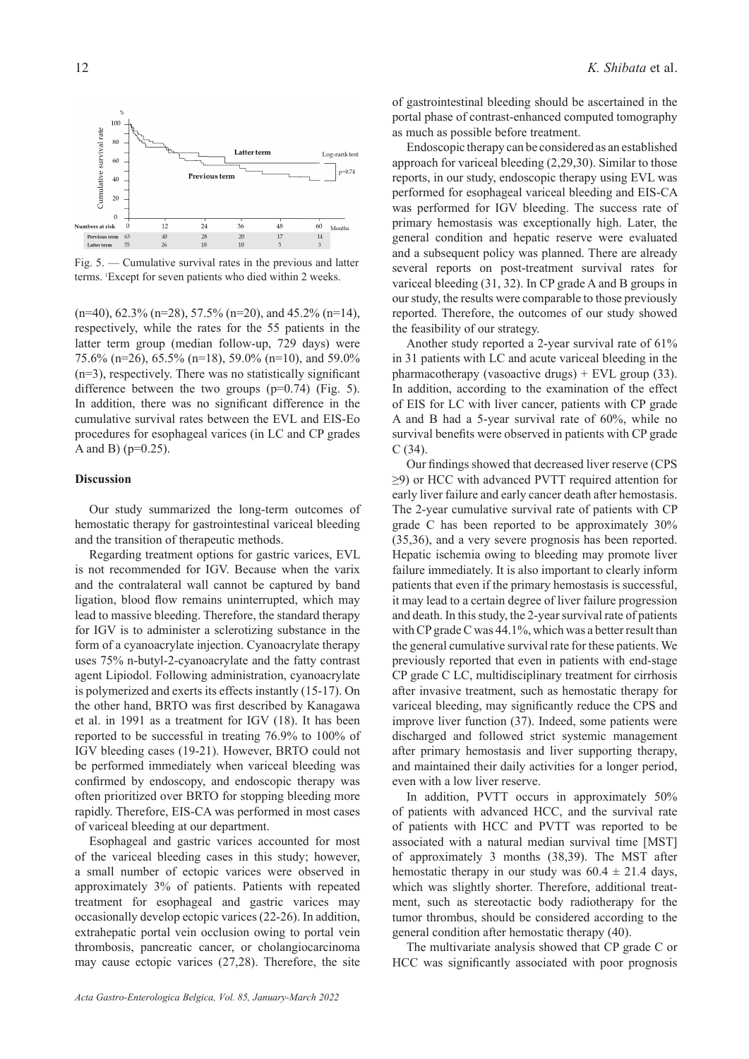

Fig. 5. — Cumulative survival rates in the previous and latter terms. <sup>1</sup> Except for seven patients who died within 2 weeks.

 $(n=40)$ , 62.3%  $(n=28)$ , 57.5%  $(n=20)$ , and 45.2%  $(n=14)$ , respectively, while the rates for the 55 patients in the latter term group (median follow-up, 729 days) were 75.6% (n=26), 65.5% (n=18), 59.0% (n=10), and 59.0% (n=3), respectively. There was no statistically significant difference between the two groups  $(p=0.74)$  (Fig. 5). In addition, there was no significant difference in the cumulative survival rates between the EVL and EIS-Eo procedures for esophageal varices (in LC and CP grades A and B) (p=0.25).

## **Discussion**

Our study summarized the long-term outcomes of hemostatic therapy for gastrointestinal variceal bleeding and the transition of therapeutic methods.

Regarding treatment options for gastric varices, EVL is not recommended for IGV. Because when the varix and the contralateral wall cannot be captured by band ligation, blood flow remains uninterrupted, which may lead to massive bleeding. Therefore, the standard therapy for IGV is to administer a sclerotizing substance in the form of a cyanoacrylate injection. Cyanoacrylate therapy uses 75% n-butyl-2-cyanoacrylate and the fatty contrast agent Lipiodol. Following administration, cyanoacrylate is polymerized and exerts its effects instantly (15-17). On the other hand, BRTO was first described by Kanagawa et al. in 1991 as a treatment for IGV (18). It has been reported to be successful in treating 76.9% to 100% of IGV bleeding cases (19-21). However, BRTO could not be performed immediately when variceal bleeding was confirmed by endoscopy, and endoscopic therapy was often prioritized over BRTO for stopping bleeding more rapidly. Therefore, EIS-CA was performed in most cases of variceal bleeding at our department.

Esophageal and gastric varices accounted for most of the variceal bleeding cases in this study; however, a small number of ectopic varices were observed in approximately 3% of patients. Patients with repeated treatment for esophageal and gastric varices may occasionally develop ectopic varices (22-26). In addition, extrahepatic portal vein occlusion owing to portal vein thrombosis, pancreatic cancer, or cholangiocarcinoma may cause ectopic varices (27,28). Therefore, the site

of gastrointestinal bleeding should be ascertained in the portal phase of contrast-enhanced computed tomography as much as possible before treatment.

Endoscopic therapy can be considered as an established approach for variceal bleeding (2,29,30). Similar to those reports, in our study, endoscopic therapy using EVL was performed for esophageal variceal bleeding and EIS-CA was performed for IGV bleeding. The success rate of primary hemostasis was exceptionally high. Later, the general condition and hepatic reserve were evaluated and a subsequent policy was planned. There are already several reports on post-treatment survival rates for variceal bleeding (31, 32). In CP grade A and B groups in our study, the results were comparable to those previously reported. Therefore, the outcomes of our study showed the feasibility of our strategy.

Another study reported a 2-year survival rate of 61% in 31 patients with LC and acute variceal bleeding in the pharmacotherapy (vasoactive drugs) + EVL group  $(33)$ . In addition, according to the examination of the effect of EIS for LC with liver cancer, patients with CP grade A and B had a 5-year survival rate of 60%, while no survival benefits were observed in patients with CP grade C (34).

Our findings showed that decreased liver reserve (CPS ≥9) or HCC with advanced PVTT required attention for early liver failure and early cancer death after hemostasis. The 2-year cumulative survival rate of patients with CP grade C has been reported to be approximately 30% (35,36), and a very severe prognosis has been reported. Hepatic ischemia owing to bleeding may promote liver failure immediately. It is also important to clearly inform patients that even if the primary hemostasis is successful, it may lead to a certain degree of liver failure progression and death. In this study, the 2-year survival rate of patients with CP grade C was 44.1%, which was a better result than the general cumulative survival rate for these patients. We previously reported that even in patients with end-stage CP grade C LC, multidisciplinary treatment for cirrhosis after invasive treatment, such as hemostatic therapy for variceal bleeding, may significantly reduce the CPS and improve liver function (37). Indeed, some patients were discharged and followed strict systemic management after primary hemostasis and liver supporting therapy, and maintained their daily activities for a longer period, even with a low liver reserve.

In addition, PVTT occurs in approximately 50% of patients with advanced HCC, and the survival rate of patients with HCC and PVTT was reported to be associated with a natural median survival time [MST] of approximately 3 months (38,39). The MST after hemostatic therapy in our study was  $60.4 \pm 21.4$  days, which was slightly shorter. Therefore, additional treatment, such as stereotactic body radiotherapy for the tumor thrombus, should be considered according to the general condition after hemostatic therapy (40).

The multivariate analysis showed that CP grade C or HCC was significantly associated with poor prognosis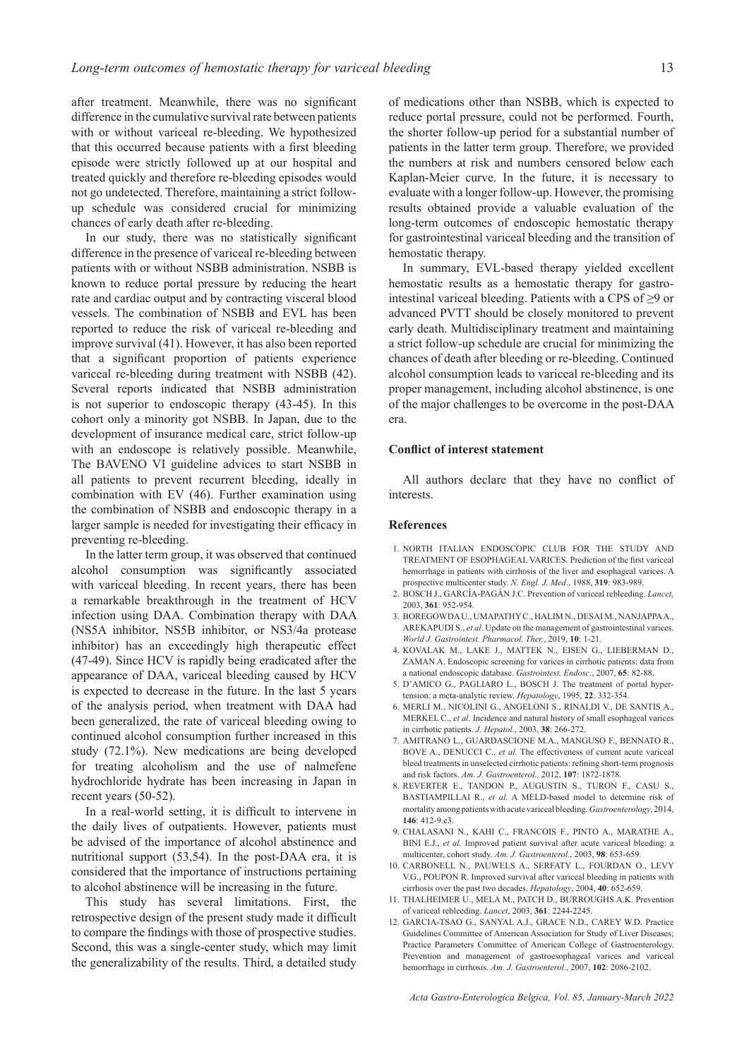after treatment. Meanwhile, there was no significant difference in the cumulative survival rate between patients with or without variceal re-bleeding. We hypothesized that this occurred because patients with a first bleeding episode were strictly followed up at our hospital and treated quickly and therefore re-bleeding episodes would not go undetected. Therefore, maintaining a strict followup schedule was considered crucial for minimizing chances of early death after re-bleeding.

In our study, there was no statistically significant difference in the presence of variceal re-bleeding between patients with or without NSBB administration. NSBB is known to reduce portal pressure by reducing the heart rate and cardiac output and by contracting visceral blood vessels. The combination of NSBB and EVL has been reported to reduce the risk of variceal re-bleeding and improve survival (41). However, it has also been reported that a significant proportion of patients experience variceal re-bleeding during treatment with NSBB (42). Several reports indicated that NSBB administration is not superior to endoscopic therapy (43-45). In this cohort only a minority got NSBB. In Japan, due to the development of insurance medical care, strict follow-up with an endoscope is relatively possible. Meanwhile, The BAVENO VI guideline advices to start NSBB in all patients to prevent recurrent bleeding, ideally in combination with EV (46). Further examination using the combination of NSBB and endoscopic therapy in a larger sample is needed for investigating their efficacy in preventing re-bleeding.

In the latter term group, it was observed that continued alcohol consumption was significantly associated with variceal bleeding. In recent years, there has been a remarkable breakthrough in the treatment of HCV infection using DAA. Combination therapy with DAA (NS5A inhibitor, NS5B inhibitor, or NS3/4a protease inhibitor) has an exceedingly high therapeutic effect (47-49). Since HCV is rapidly being eradicated after the appearance of DAA, variceal bleeding caused by HCV is expected to decrease in the future. In the last 5 years of the analysis period, when treatment with DAA had been generalized, the rate of variceal bleeding owing to continued alcohol consumption further increased in this study (72.1%). New medications are being developed for treating alcoholism and the use of nalmefene hydrochloride hydrate has been increasing in Japan in recent years (50-52).

In a real-world setting, it is difficult to intervene in the daily lives of outpatients. However, patients must be advised of the importance of alcohol abstinence and nutritional support (53,54). In the post-DAA era, it is considered that the importance of instructions pertaining to alcohol abstinence will be increasing in the future.

This study has several limitations. First, the retrospective design of the present study made it difficult to compare the findings with those of prospective studies. Second, this was a single-center study, which may limit the generalizability of the results. Third, a detailed study

of medications other than NSBB, which is expected to reduce portal pressure, could not be performed. Fourth, the shorter follow-up period for a substantial number of patients in the latter term group. Therefore, we provided the numbers at risk and numbers censored below each Kaplan-Meier curve. In the future, it is necessary to evaluate with a longer follow-up. However, the promising results obtained provide a valuable evaluation of the long-term outcomes of endoscopic hemostatic therapy for gastrointestinal variceal bleeding and the transition of hemostatic therapy.

In summary, EVL-based therapy yielded excellent hemostatic results as a hemostatic therapy for gastrointestinal variceal bleeding. Patients with a CPS of  $\geq$ 9 or advanced PVTT should be closely monitored to prevent early death. Multidisciplinary treatment and maintaining a strict follow-up schedule are crucial for minimizing the chances of death after bleeding or re-bleeding. Continued alcohol consumption leads to variceal re-bleeding and its proper management, including alcohol abstinence, is one of the major challenges to be overcome in the post-DAA era.

## **Conflict of interest statement**

All authors declare that they have no conflict of interests.

#### **References**

- 1. NORTH ITALIAN ENDOSCOPIC CLUB FOR THE STUDY AND TREATMENT OF ESOPHAGEAL VARICES. Prediction of the first variceal hemorrhage in patients with cirrhosis of the liver and esophageal varices. A prospective multicenter study. *N. Engl. J. Med*., 1988, **319**: 983-989.
- 2. BOSCH J., GARCÍA-PAGÁN J.C. Prevention of variceal rebleeding. *Lancet,* 2003, **361**: 952-954.
- 3. BOREGOWDA U., UMAPATHY C., HALIM N., DESAI M., NANJAPPA A., AREKAPUDI S., *et al*. Update on the management of gastrointestinal varices. *World J. Gastrointest. Pharmacol. Ther.*, 2019, **10**: 1-21.
- 4. KOVALAK M., LAKE J., MATTEK N., EISEN G., LIEBERMAN D., ZAMAN A. Endoscopic screening for varices in cirrhotic patients: data from a national endoscopic database. *Gastrointest. Endosc*., 2007, **65**: 82-88.
- 5. D'AMICO G., PAGLIARO L., BOSCH J. The treatment of portal hypertension: a meta-analytic review. *Hepatology*, 1995, **22**: 332-354.
- 6. MERLI M., NICOLINI G., ANGELONI S., RINALDI V., DE SANTIS A., MERKEL C., *et al.* Incidence and natural history of small esophageal varices in cirrhotic patients. *J. Hepatol.*, 2003, **38**: 266-272.
- 7. AMITRANO L., GUARDASCIONE M.A., MANGUSO F., BENNATO R., BOVE A., DENUCCI C., *et al.* The effectiveness of current acute variceal bleed treatments in unselected cirrhotic patients: refining short-term prognosis and risk factors. *Am. J. Gastroenterol.,* 2012, **107**: 1872-1878.
- 8. REVERTER E., TANDON P., AUGUSTIN S., TURON F., CASU S., BASTIAMPILLAI R., *et al.* A MELD-based model to determine risk of mortality among patients with acute variceal bleeding.*Gastroenterology*, 2014, **146**: 412-9.e3.
- 9. CHALASANI N., KAHI C., FRANCOIS F., PINTO A., MARATHE A., BINI E.J., *et al.* Improved patient survival after acute variceal bleeding: a multicenter, cohort study. *Am. J. Gastroenterol.*, 2003, **98**: 653-659.
- 10. CARBONELL N., PAUWELS A., SERFATY L., FOURDAN O., LEVY V.G., POUPON R. Improved survival after variceal bleeding in patients with cirrhosis over the past two decades. *Hepatology*, 2004, **40**: 652-659.
- 11. THALHEIMER U., MELA M., PATCH D., BURROUGHS A.K. Prevention of variceal rebleeding. *Lancet*, 2003, **361**: 2244-2245.
- 12. GARCIA-TSAO G., SANYAL A.J., GRACE N.D., CAREY W.D. Practice Guidelines Committee of American Association for Study of Liver Diseases; Practice Parameters Committee of American College of Gastroenterology. Prevention and management of gastroesophageal varices and variceal hemorrhage in cirrhosis. *Am. J. Gastroenterol.*, 2007, **102**: 2086-2102.

*Acta Gastro-Enterologica Belgica, Vol. 85, January-March 2022*